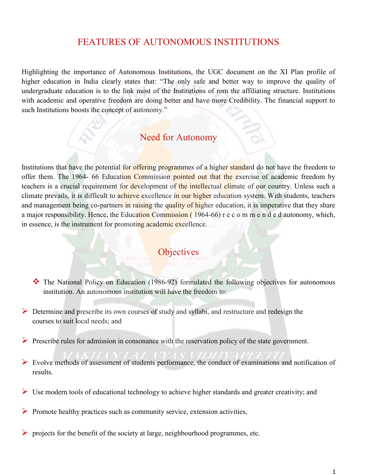### FEATURES OF AUTONOMOUS INSTITUTIONS

Highlighting the importance of Autonomous Institutions, the UGC document on the XI Plan profile of higher education in India clearly states that: "The only safe and better way to improve the quality of undergraduate education is to the link most of the Institutions of rom the affiliating structure. Institutions with academic and operative freedom are doing better and have more Credibility. The financial support to such Institutions boosts the concept of autonomy."

### Need for Autonomy

Institutions that have the potential for offering programmes of a higher standard do not have the freedom to offer them. The 1964- 66 Education Commission pointed out that the exercise of academic freedom by teachers is a crucial requirement for development of the intellectual climate of our country. Unless such a climate prevails, it is difficult to achieve excellence in our higher education system. With students, teachers and management being co-partners in raising the quality of higher education, it is imperative that they share a major responsibility. Hence, the Education Commission ( 1964-66) r e c o m m e n d e d autonomy, which, in essence, is the instrument for promoting academic excellence.

**Objectives** 

- \* The National Policy on Education (1986-92) formulated the following objectives for autonomous institution. An autonomous institution will have the freedom to:
- $\triangleright$  Determine and prescribe its own courses of study and syllabi, and restructure and redesign the courses to suit local needs; and
- $\triangleright$  Prescribe rules for admission in consonance with the reservation policy of the state government.
- Evolve methods of assessment of students performance, the conduct of examinations and notification of results.
- $\triangleright$  Use modern tools of educational technology to achieve higher standards and greater creativity; and
- $\triangleright$  Promote healthy practices such as community service, extension activities,
- $\triangleright$  projects for the benefit of the society at large, neighbourhood programmes, etc.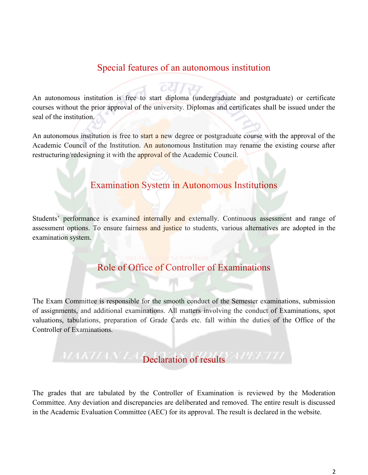# Special features of an autonomous institution

An autonomous institution is free to start diploma (undergraduate and postgraduate) or certificate courses without the prior approval of the university. Diplomas and certificates shall be issued under the seal of the institution.

An autonomous institution is free to start a new degree or postgraduate course with the approval of the Academic Council of the Institution. An autonomous Institution may rename the existing course after restructuring/redesigning it with the approval of the Academic Council.

### Examination System in Autonomous Institutions

Students' performance is examined internally and externally. Continuous assessment and range of assessment options. To ensure fairness and justice to students, various alternatives are adopted in the examination system.

# Role of Office of Controller of Examinations

The Exam Committee is responsible for the smooth conduct of the Semester examinations, submission of assignments, and additional examinations. All matters involving the conduct of Examinations, spot valuations, tabulations, preparation of Grade Cards etc. fall within the duties of the Office of the Controller of Examinations.

# MAKILAN LA Declaration of results APEETII

The grades that are tabulated by the Controller of Examination is reviewed by the Moderation Committee. Any deviation and discrepancies are deliberated and removed. The entire result is discussed in the Academic Evaluation Committee (AEC) for its approval. The result is declared in the website.